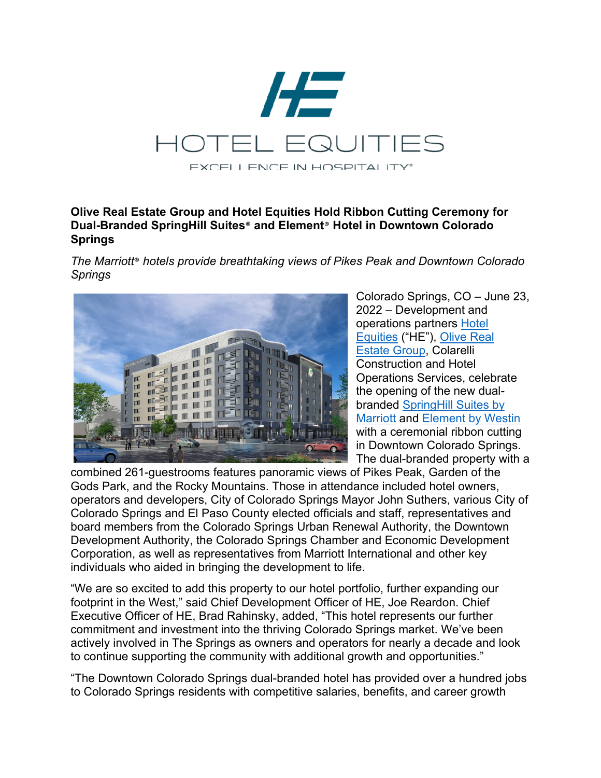

## **Olive Real Estate Group and Hotel Equities Hold Ribbon Cutting Ceremony for Dual-Branded SpringHill Suites**® **and Element**® **Hotel in Downtown Colorado Springs**

*The Marriott*® *hotels provide breathtaking views of Pikes Peak and Downtown Colorado Springs*



Colorado Springs, CO – June 23, 2022 – Development and operations partners Hotel Equities ("HE"), Olive Real Estate Group, Colarelli Construction and Hotel Operations Services, celebrate the opening of the new dualbranded SpringHill Suites by Marriott and Element by Westin with a ceremonial ribbon cutting in Downtown Colorado Springs. The dual-branded property with a

combined 261-guestrooms features panoramic views of Pikes Peak, Garden of the Gods Park, and the Rocky Mountains. Those in attendance included hotel owners, operators and developers, City of Colorado Springs Mayor John Suthers, various City of Colorado Springs and El Paso County elected officials and staff, representatives and board members from the Colorado Springs Urban Renewal Authority, the Downtown Development Authority, the Colorado Springs Chamber and Economic Development Corporation, as well as representatives from Marriott International and other key individuals who aided in bringing the development to life.

"We are so excited to add this property to our hotel portfolio, further expanding our footprint in the West," said Chief Development Officer of HE, Joe Reardon. Chief Executive Officer of HE, Brad Rahinsky, added, "This hotel represents our further commitment and investment into the thriving Colorado Springs market. We've been actively involved in The Springs as owners and operators for nearly a decade and look to continue supporting the community with additional growth and opportunities."

"The Downtown Colorado Springs dual-branded hotel has provided over a hundred jobs to Colorado Springs residents with competitive salaries, benefits, and career growth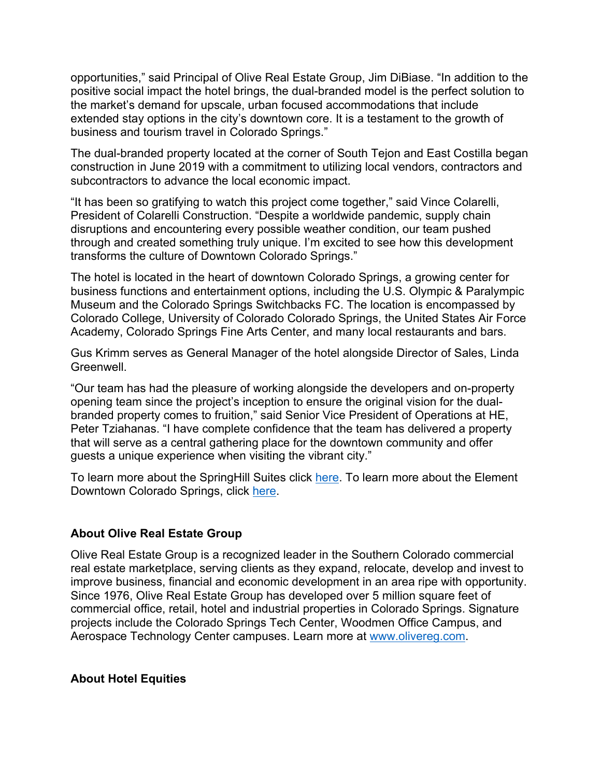opportunities," said Principal of Olive Real Estate Group, Jim DiBiase. "In addition to the positive social impact the hotel brings, the dual-branded model is the perfect solution to the market's demand for upscale, urban focused accommodations that include extended stay options in the city's downtown core. It is a testament to the growth of business and tourism travel in Colorado Springs."

The dual-branded property located at the corner of South Tejon and East Costilla began construction in June 2019 with a commitment to utilizing local vendors, contractors and subcontractors to advance the local economic impact.

"It has been so gratifying to watch this project come together," said Vince Colarelli, President of Colarelli Construction. "Despite a worldwide pandemic, supply chain disruptions and encountering every possible weather condition, our team pushed through and created something truly unique. I'm excited to see how this development transforms the culture of Downtown Colorado Springs."

The hotel is located in the heart of downtown Colorado Springs, a growing center for business functions and entertainment options, including the U.S. Olympic & Paralympic Museum and the Colorado Springs Switchbacks FC. The location is encompassed by Colorado College, University of Colorado Colorado Springs, the United States Air Force Academy, Colorado Springs Fine Arts Center, and many local restaurants and bars.

Gus Krimm serves as General Manager of the hotel alongside Director of Sales, Linda Greenwell.

"Our team has had the pleasure of working alongside the developers and on-property opening team since the project's inception to ensure the original vision for the dualbranded property comes to fruition," said Senior Vice President of Operations at HE, Peter Tziahanas. "I have complete confidence that the team has delivered a property that will serve as a central gathering place for the downtown community and offer guests a unique experience when visiting the vibrant city."

To learn more about the SpringHill Suites click here. To learn more about the Element Downtown Colorado Springs, click here.

### **About Olive Real Estate Group**

Olive Real Estate Group is a recognized leader in the Southern Colorado commercial real estate marketplace, serving clients as they expand, relocate, develop and invest to improve business, financial and economic development in an area ripe with opportunity. Since 1976, Olive Real Estate Group has developed over 5 million square feet of commercial office, retail, hotel and industrial properties in Colorado Springs. Signature projects include the Colorado Springs Tech Center, Woodmen Office Campus, and Aerospace Technology Center campuses. Learn more at www.olivereg.com.

#### **About Hotel Equities**